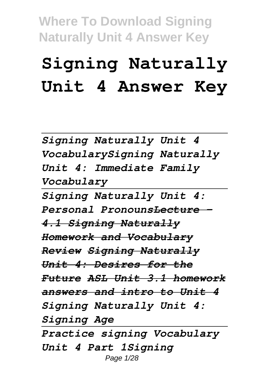# **Signing Naturally Unit 4 Answer Key**

*Signing Naturally Unit 4 VocabularySigning Naturally Unit 4: Immediate Family Vocabulary*

*Signing Naturally Unit 4: Personal PronounsLecture - 4.1 Signing Naturally Homework and Vocabulary Review Signing Naturally Unit 4: Desires for the Future ASL Unit 3.1 homework answers and intro to Unit 4 Signing Naturally Unit 4: Signing Age Practice signing Vocabulary*

*Unit 4 Part 1Signing* Page 1/28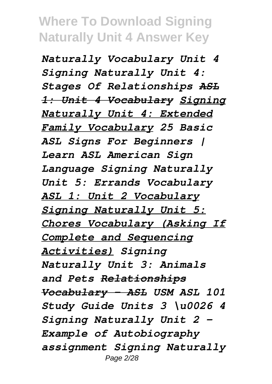*Naturally Vocabulary Unit 4 Signing Naturally Unit 4: Stages Of Relationships ASL 1: Unit 4 Vocabulary Signing Naturally Unit 4: Extended Family Vocabulary 25 Basic ASL Signs For Beginners | Learn ASL American Sign Language Signing Naturally Unit 5: Errands Vocabulary ASL 1: Unit 2 Vocabulary Signing Naturally Unit 5: Chores Vocabulary (Asking If Complete and Sequencing Activities) Signing Naturally Unit 3: Animals and Pets Relationships Vocabulary - ASL USM ASL 101 Study Guide Units 3 \u0026 4 Signing Naturally Unit 2 - Example of Autobiography assignment Signing Naturally* Page 2/28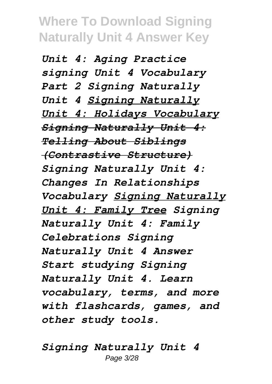*Unit 4: Aging Practice signing Unit 4 Vocabulary Part 2 Signing Naturally Unit 4 Signing Naturally Unit 4: Holidays Vocabulary Signing Naturally Unit 4: Telling About Siblings (Contrastive Structure) Signing Naturally Unit 4: Changes In Relationships Vocabulary Signing Naturally Unit 4: Family Tree Signing Naturally Unit 4: Family Celebrations Signing Naturally Unit 4 Answer Start studying Signing Naturally Unit 4. Learn vocabulary, terms, and more with flashcards, games, and other study tools.*

*Signing Naturally Unit 4* Page 3/28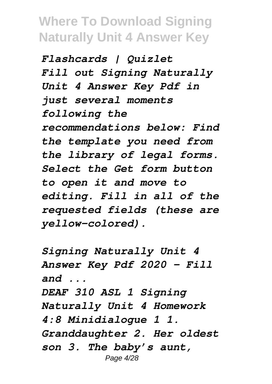*Flashcards | Quizlet Fill out Signing Naturally Unit 4 Answer Key Pdf in just several moments following the recommendations below: Find the template you need from the library of legal forms. Select the Get form button to open it and move to editing. Fill in all of the requested fields (these are yellow-colored).*

*Signing Naturally Unit 4 Answer Key Pdf 2020 - Fill and ... DEAF 310 ASL 1 Signing Naturally Unit 4 Homework 4:8 Minidialogue 1 1. Granddaughter 2. Her oldest son 3. The baby's aunt,* Page 4/28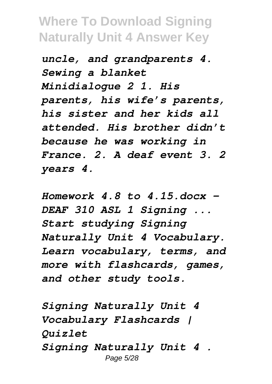*uncle, and grandparents 4. Sewing a blanket Minidialogue 2 1. His parents, his wife's parents, his sister and her kids all attended. His brother didn't because he was working in France. 2. A deaf event 3. 2 years 4.*

*Homework 4.8 to 4.15.docx - DEAF 310 ASL 1 Signing ... Start studying Signing Naturally Unit 4 Vocabulary. Learn vocabulary, terms, and more with flashcards, games, and other study tools.*

*Signing Naturally Unit 4 Vocabulary Flashcards | Quizlet Signing Naturally Unit 4 .* Page 5/28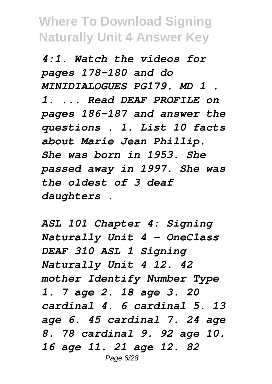*4:1. Watch the videos for pages 178-180 and do MINIDIALOGUES PG179. MD 1 . 1. ... Read DEAF PROFILE on pages 186-187 and answer the questions . 1. List 10 facts about Marie Jean Phillip. She was born in 1953. She passed away in 1997. She was the oldest of 3 deaf daughters .*

*ASL 101 Chapter 4: Signing Naturally Unit 4 - OneClass DEAF 310 ASL 1 Signing Naturally Unit 4 12. 42 mother Identify Number Type 1. 7 age 2. 18 age 3. 20 cardinal 4. 6 cardinal 5. 13 age 6. 45 cardinal 7. 24 age 8. 78 cardinal 9. 92 age 10. 16 age 11. 21 age 12. 82* Page 6/28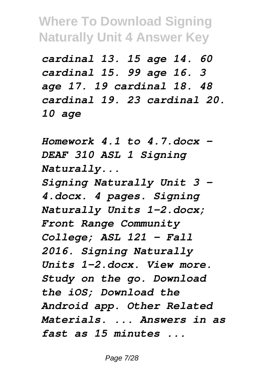*cardinal 13. 15 age 14. 60 cardinal 15. 99 age 16. 3 age 17. 19 cardinal 18. 48 cardinal 19. 23 cardinal 20. 10 age*

*Homework 4.1 to 4.7.docx - DEAF 310 ASL 1 Signing Naturally... Signing Naturally Unit 3 - 4.docx. 4 pages. Signing Naturally Units 1-2.docx; Front Range Community College; ASL 121 - Fall 2016. Signing Naturally Units 1-2.docx. View more. Study on the go. Download the iOS; Download the Android app. Other Related Materials. ... Answers in as fast as 15 minutes ...*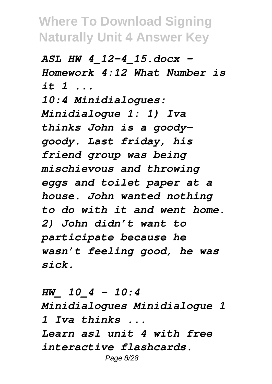*ASL HW 4\_12-4\_15.docx - Homework 4:12 What Number is it 1 ... 10:4 Minidialogues: Minidialogue 1: 1) Iva thinks John is a goodygoody. Last friday, his friend group was being mischievous and throwing eggs and toilet paper at a house. John wanted nothing to do with it and went home. 2) John didn't want to participate because he wasn't feeling good, he was sick.*

*HW\_ 10\_4 - 10:4 Minidialogues Minidialogue 1 1 Iva thinks ... Learn asl unit 4 with free interactive flashcards.* Page 8/28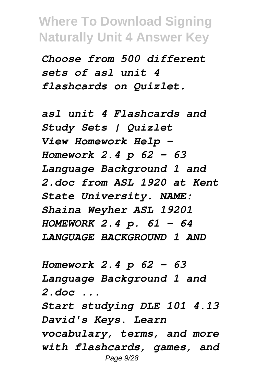*Choose from 500 different sets of asl unit 4 flashcards on Quizlet.*

*asl unit 4 Flashcards and Study Sets | Quizlet View Homework Help - Homework 2.4 p 62 - 63 Language Background 1 and 2.doc from ASL 1920 at Kent State University. NAME: Shaina Weyher ASL 19201 HOMEWORK 2.4 p. 61 - 64 LANGUAGE BACKGROUND 1 AND*

*Homework 2.4 p 62 - 63 Language Background 1 and 2.doc ... Start studying DLE 101 4.13 David's Keys. Learn vocabulary, terms, and more with flashcards, games, and* Page 9/28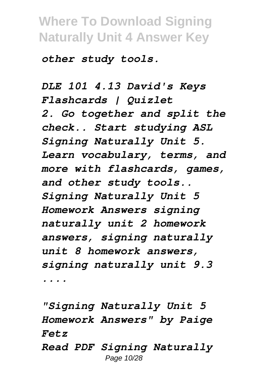*other study tools.*

*DLE 101 4.13 David's Keys Flashcards | Quizlet 2. Go together and split the check.. Start studying ASL Signing Naturally Unit 5. Learn vocabulary, terms, and more with flashcards, games, and other study tools.. Signing Naturally Unit 5 Homework Answers signing naturally unit 2 homework answers, signing naturally unit 8 homework answers, signing naturally unit 9.3 ....*

*"Signing Naturally Unit 5 Homework Answers" by Paige Fetz Read PDF Signing Naturally*

Page 10/28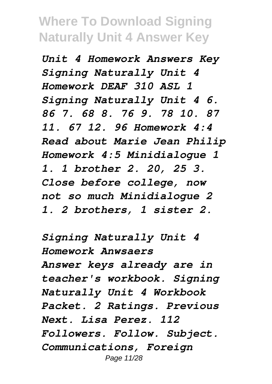*Unit 4 Homework Answers Key Signing Naturally Unit 4 Homework DEAF 310 ASL 1 Signing Naturally Unit 4 6. 86 7. 68 8. 76 9. 78 10. 87 11. 67 12. 96 Homework 4:4 Read about Marie Jean Philip Homework 4:5 Minidialogue 1 1. 1 brother 2. 20, 25 3. Close before college, now not so much Minidialogue 2 1. 2 brothers, 1 sister 2.*

*Signing Naturally Unit 4 Homework Anwsaers Answer keys already are in teacher's workbook. Signing Naturally Unit 4 Workbook Packet. 2 Ratings. Previous Next. Lisa Perez. 112 Followers. Follow. Subject. Communications, Foreign* Page 11/28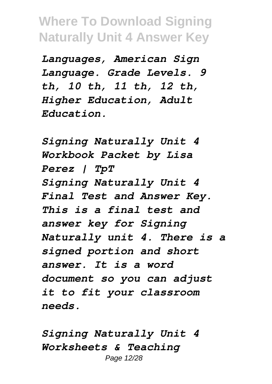*Languages, American Sign Language. Grade Levels. 9 th, 10 th, 11 th, 12 th, Higher Education, Adult Education.*

*Signing Naturally Unit 4 Workbook Packet by Lisa Perez | TpT Signing Naturally Unit 4 Final Test and Answer Key. This is a final test and answer key for Signing Naturally unit 4. There is a signed portion and short answer. It is a word document so you can adjust it to fit your classroom needs.*

*Signing Naturally Unit 4 Worksheets & Teaching* Page 12/28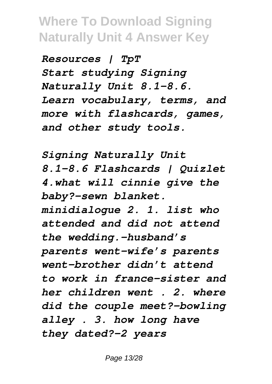*Resources | TpT Start studying Signing Naturally Unit 8.1-8.6. Learn vocabulary, terms, and more with flashcards, games, and other study tools.*

*Signing Naturally Unit 8.1-8.6 Flashcards | Quizlet 4.what will cinnie give the baby?-sewn blanket. minidialogue 2. 1. list who attended and did not attend the wedding.-husband's parents went-wife's parents went-brother didn't attend to work in france-sister and her children went . 2. where did the couple meet?-bowling alley . 3. how long have they dated?-2 years*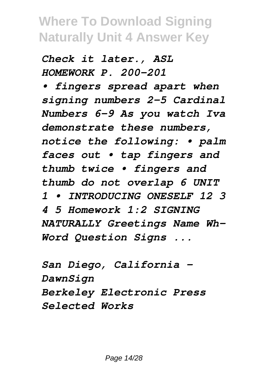*Check it later., ASL HOMEWORK P. 200-201*

*• fingers spread apart when signing numbers 2–5 Cardinal Numbers 6–9 As you watch Iva demonstrate these numbers, notice the following: • palm faces out • tap fingers and thumb twice • fingers and thumb do not overlap 6 UNIT 1 • INTRODUCING ONESELF 12 3 4 5 Homework 1:2 SIGNING NATURALLY Greetings Name Wh-Word Question Signs ...*

*San Diego, California - DawnSign Berkeley Electronic Press Selected Works*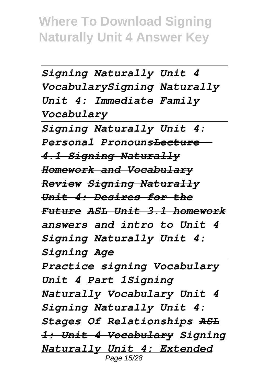```
Signing Naturally Unit 4
VocabularySigning Naturally
Unit 4: Immediate Family
Vocabulary
Signing Naturally Unit 4:
Personal PronounsLecture -
4.1 Signing Naturally
Homework and Vocabulary
Review Signing Naturally
Unit 4: Desires for the
Future ASL Unit 3.1 homework
answers and intro to Unit 4
Signing Naturally Unit 4:
```
*Signing Age*

*Practice signing Vocabulary Unit 4 Part 1Signing Naturally Vocabulary Unit 4 Signing Naturally Unit 4: Stages Of Relationships ASL 1: Unit 4 Vocabulary Signing Naturally Unit 4: Extended* Page 15/28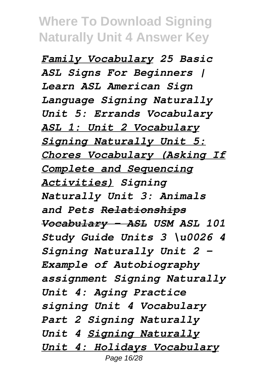*Family Vocabulary 25 Basic ASL Signs For Beginners | Learn ASL American Sign Language Signing Naturally Unit 5: Errands Vocabulary ASL 1: Unit 2 Vocabulary Signing Naturally Unit 5: Chores Vocabulary (Asking If Complete and Sequencing Activities) Signing Naturally Unit 3: Animals and Pets Relationships Vocabulary - ASL USM ASL 101 Study Guide Units 3 \u0026 4 Signing Naturally Unit 2 - Example of Autobiography assignment Signing Naturally Unit 4: Aging Practice signing Unit 4 Vocabulary Part 2 Signing Naturally Unit 4 Signing Naturally Unit 4: Holidays Vocabulary* Page 16/28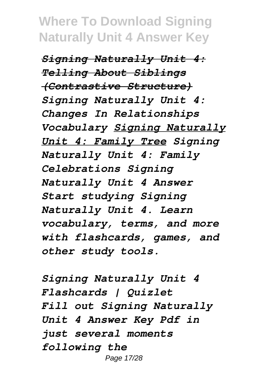*Signing Naturally Unit 4: Telling About Siblings (Contrastive Structure) Signing Naturally Unit 4: Changes In Relationships Vocabulary Signing Naturally Unit 4: Family Tree Signing Naturally Unit 4: Family Celebrations Signing Naturally Unit 4 Answer Start studying Signing Naturally Unit 4. Learn vocabulary, terms, and more with flashcards, games, and other study tools.*

*Signing Naturally Unit 4 Flashcards | Quizlet Fill out Signing Naturally Unit 4 Answer Key Pdf in just several moments following the* Page 17/28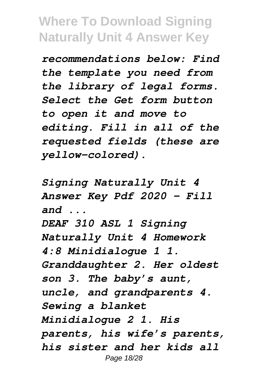*recommendations below: Find the template you need from the library of legal forms. Select the Get form button to open it and move to editing. Fill in all of the requested fields (these are yellow-colored).*

*Signing Naturally Unit 4 Answer Key Pdf 2020 - Fill and ...*

*DEAF 310 ASL 1 Signing Naturally Unit 4 Homework 4:8 Minidialogue 1 1. Granddaughter 2. Her oldest son 3. The baby's aunt, uncle, and grandparents 4. Sewing a blanket Minidialogue 2 1. His parents, his wife's parents, his sister and her kids all* Page 18/28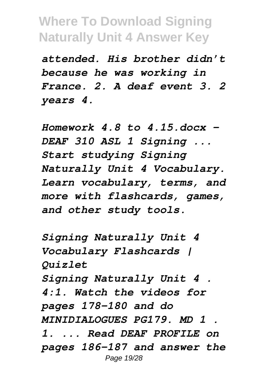*attended. His brother didn't because he was working in France. 2. A deaf event 3. 2 years 4.*

*Homework 4.8 to 4.15.docx - DEAF 310 ASL 1 Signing ... Start studying Signing Naturally Unit 4 Vocabulary. Learn vocabulary, terms, and more with flashcards, games, and other study tools.*

*Signing Naturally Unit 4 Vocabulary Flashcards | Quizlet Signing Naturally Unit 4 . 4:1. Watch the videos for pages 178-180 and do MINIDIALOGUES PG179. MD 1 . 1. ... Read DEAF PROFILE on pages 186-187 and answer the* Page 19/28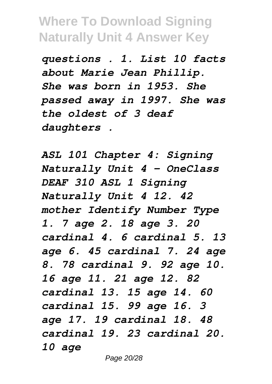*questions . 1. List 10 facts about Marie Jean Phillip. She was born in 1953. She passed away in 1997. She was the oldest of 3 deaf daughters .*

*ASL 101 Chapter 4: Signing Naturally Unit 4 - OneClass DEAF 310 ASL 1 Signing Naturally Unit 4 12. 42 mother Identify Number Type 1. 7 age 2. 18 age 3. 20 cardinal 4. 6 cardinal 5. 13 age 6. 45 cardinal 7. 24 age 8. 78 cardinal 9. 92 age 10. 16 age 11. 21 age 12. 82 cardinal 13. 15 age 14. 60 cardinal 15. 99 age 16. 3 age 17. 19 cardinal 18. 48 cardinal 19. 23 cardinal 20. 10 age*

Page 20/28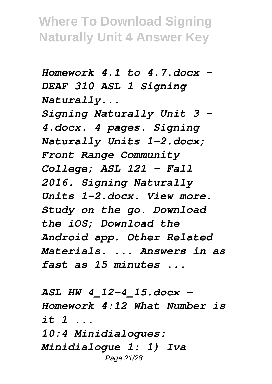*Homework 4.1 to 4.7.docx - DEAF 310 ASL 1 Signing Naturally...*

*Signing Naturally Unit 3 - 4.docx. 4 pages. Signing Naturally Units 1-2.docx; Front Range Community College; ASL 121 - Fall 2016. Signing Naturally Units 1-2.docx. View more. Study on the go. Download the iOS; Download the Android app. Other Related Materials. ... Answers in as fast as 15 minutes ...*

*ASL HW 4\_12-4\_15.docx - Homework 4:12 What Number is it 1 ... 10:4 Minidialogues: Minidialogue 1: 1) Iva* Page 21/28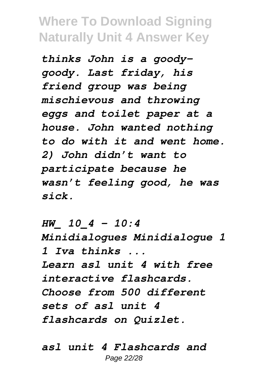*thinks John is a goodygoody. Last friday, his friend group was being mischievous and throwing eggs and toilet paper at a house. John wanted nothing to do with it and went home. 2) John didn't want to participate because he wasn't feeling good, he was sick.*

*HW\_ 10\_4 - 10:4 Minidialogues Minidialogue 1 1 Iva thinks ... Learn asl unit 4 with free interactive flashcards. Choose from 500 different sets of asl unit 4 flashcards on Quizlet.*

*asl unit 4 Flashcards and* Page 22/28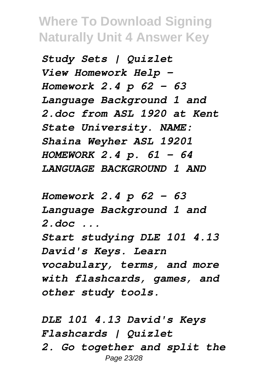*Study Sets | Quizlet View Homework Help - Homework 2.4 p 62 - 63 Language Background 1 and 2.doc from ASL 1920 at Kent State University. NAME: Shaina Weyher ASL 19201 HOMEWORK 2.4 p. 61 - 64 LANGUAGE BACKGROUND 1 AND*

*Homework 2.4 p 62 - 63 Language Background 1 and 2.doc ... Start studying DLE 101 4.13 David's Keys. Learn*

*vocabulary, terms, and more with flashcards, games, and other study tools.*

*DLE 101 4.13 David's Keys Flashcards | Quizlet 2. Go together and split the* Page 23/28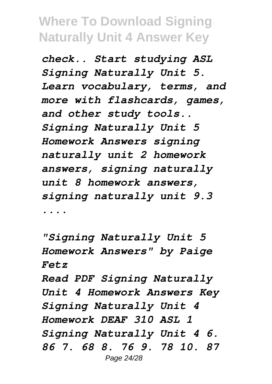*check.. Start studying ASL Signing Naturally Unit 5. Learn vocabulary, terms, and more with flashcards, games, and other study tools.. Signing Naturally Unit 5 Homework Answers signing naturally unit 2 homework answers, signing naturally unit 8 homework answers, signing naturally unit 9.3 ....*

*"Signing Naturally Unit 5 Homework Answers" by Paige Fetz*

*Read PDF Signing Naturally Unit 4 Homework Answers Key Signing Naturally Unit 4 Homework DEAF 310 ASL 1 Signing Naturally Unit 4 6. 86 7. 68 8. 76 9. 78 10. 87* Page 24/28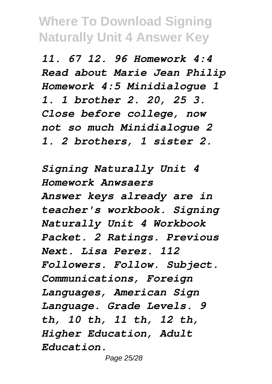*11. 67 12. 96 Homework 4:4 Read about Marie Jean Philip Homework 4:5 Minidialogue 1 1. 1 brother 2. 20, 25 3. Close before college, now not so much Minidialogue 2 1. 2 brothers, 1 sister 2.*

*Signing Naturally Unit 4 Homework Anwsaers Answer keys already are in teacher's workbook. Signing Naturally Unit 4 Workbook Packet. 2 Ratings. Previous Next. Lisa Perez. 112 Followers. Follow. Subject. Communications, Foreign Languages, American Sign Language. Grade Levels. 9 th, 10 th, 11 th, 12 th, Higher Education, Adult Education.*

Page 25/28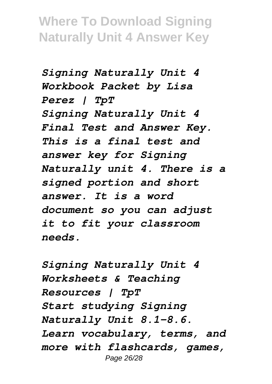*Signing Naturally Unit 4 Workbook Packet by Lisa Perez | TpT Signing Naturally Unit 4 Final Test and Answer Key. This is a final test and answer key for Signing Naturally unit 4. There is a signed portion and short answer. It is a word document so you can adjust it to fit your classroom needs.*

*Signing Naturally Unit 4 Worksheets & Teaching Resources | TpT Start studying Signing Naturally Unit 8.1-8.6. Learn vocabulary, terms, and more with flashcards, games,* Page 26/28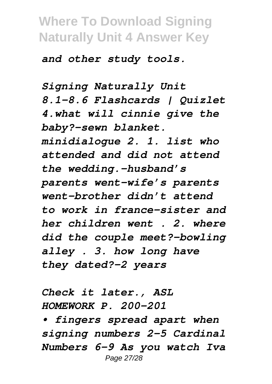*and other study tools.*

*Signing Naturally Unit 8.1-8.6 Flashcards | Quizlet 4.what will cinnie give the baby?-sewn blanket. minidialogue 2. 1. list who attended and did not attend the wedding.-husband's parents went-wife's parents went-brother didn't attend to work in france-sister and her children went . 2. where did the couple meet?-bowling alley . 3. how long have they dated?-2 years*

*Check it later., ASL HOMEWORK P. 200-201*

*• fingers spread apart when signing numbers 2–5 Cardinal Numbers 6–9 As you watch Iva* Page 27/28